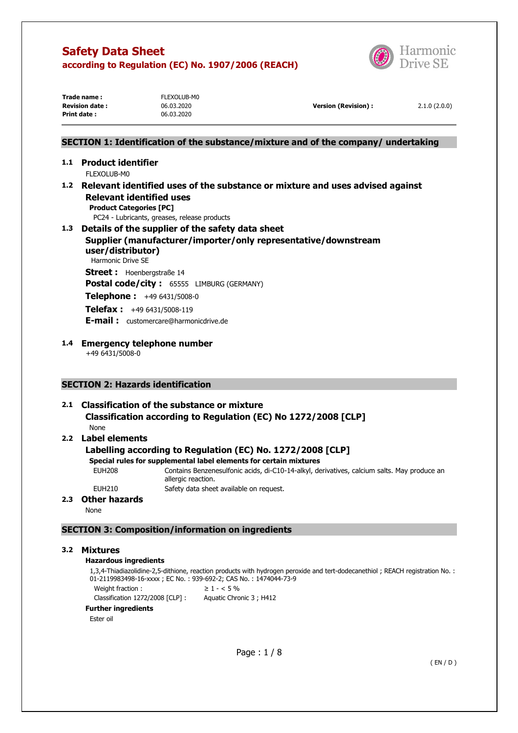

| Trade name :          | FLEXOLUB-M0 |                      |              |
|-----------------------|-------------|----------------------|--------------|
| <b>Revision date:</b> | 06.03.2020  | Version (Revision) : | 2.1.0(2.0.0) |
| <b>Print date:</b>    | 06.03.2020  |                      |              |
|                       |             |                      |              |

# **SECTION 1: Identification of the substance/mixture and of the company/ undertaking**

# **1.1 Product identifier**

FLEXOLUB-M0

**1.2 Relevant identified uses of the substance or mixture and uses advised against Relevant identified uses Product Categories [PC]** 

PC24 - Lubricants, greases, release products

**1.3 Details of the supplier of the safety data sheet Supplier (manufacturer/importer/only representative/downstream user/distributor)**  Harmonic Drive SE **Street :** Hoenbergstraße 14 **Postal code/city :** 65555 LIMBURG (GERMANY)

**Telephone :** +49 6431/5008-0

**Telefax :** +49 6431/5008-119

**E-mail :** customercare@harmonicdrive.de

**1.4 Emergency telephone number**  +49 6431/5008-0

# **SECTION 2: Hazards identification**

# **2.1 Classification of the substance or mixture Classification according to Regulation (EC) No 1272/2008 [CLP]**  None

# **2.2 Label elements**

# **Labelling according to Regulation (EC) No. 1272/2008 [CLP]**

- **Special rules for supplemental label elements for certain mixtures**
- EUH208 Contains Benzenesulfonic acids, di-C10-14-alkyl, derivatives, calcium salts. May produce an

allergic reaction.

EUH210 Safety data sheet available on request.

# **2.3 Other hazards**

None

# **SECTION 3: Composition/information on ingredients**

# **3.2 Mixtures**

#### **Hazardous ingredients**

1,3,4-Thiadiazolidine-2,5-dithione, reaction products with hydrogen peroxide and tert-dodecanethiol ; REACH registration No. : 01-2119983498-16-xxxx ; EC No. : 939-692-2; CAS No. : 1474044-73-9 Weight fraction :  $\geq 1 - 5\%$ 

Classification 1272/2008 [CLP] : Aquatic Chronic 3 ; H412

# **Further ingredients**

Ester oil

Page : 1 / 8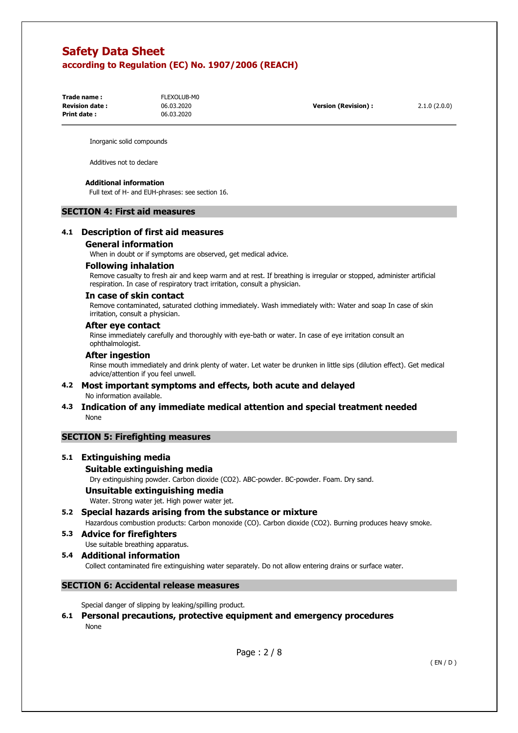| Trade name :           | FLEXOLUB-M0 |                      |              |
|------------------------|-------------|----------------------|--------------|
| <b>Revision date :</b> | 06.03.2020  | Version (Revision) : | 2.1.0(2.0.0) |
| Print date :           | 06.03.2020  |                      |              |

Inorganic solid compounds

Additives not to declare

#### **Additional information**

Full text of H- and EUH-phrases: see section 16.

#### **SECTION 4: First aid measures**

### **4.1 Description of first aid measures**

#### **General information**

When in doubt or if symptoms are observed, get medical advice.

#### **Following inhalation**

Remove casualty to fresh air and keep warm and at rest. If breathing is irregular or stopped, administer artificial respiration. In case of respiratory tract irritation, consult a physician.

#### **In case of skin contact**

Remove contaminated, saturated clothing immediately. Wash immediately with: Water and soap In case of skin irritation, consult a physician.

#### **After eye contact**

Rinse immediately carefully and thoroughly with eye-bath or water. In case of eye irritation consult an ophthalmologist.

#### **After ingestion**

Rinse mouth immediately and drink plenty of water. Let water be drunken in little sips (dilution effect). Get medical advice/attention if you feel unwell.

### **4.2 Most important symptoms and effects, both acute and delayed**  No information available.

**4.3 Indication of any immediate medical attention and special treatment needed**  None

#### **SECTION 5: Firefighting measures**

# **5.1 Extinguishing media**

#### **Suitable extinguishing media**

Dry extinguishing powder. Carbon dioxide (CO2). ABC-powder. BC-powder. Foam. Dry sand.

# **Unsuitable extinguishing media**

Water. Strong water jet. High power water jet.

**5.2 Special hazards arising from the substance or mixture** 

Hazardous combustion products: Carbon monoxide (CO). Carbon dioxide (CO2). Burning produces heavy smoke.

- **5.3 Advice for firefighters** 
	- Use suitable breathing apparatus.
- **5.4 Additional information**

Collect contaminated fire extinguishing water separately. Do not allow entering drains or surface water.

# **SECTION 6: Accidental release measures**

Special danger of slipping by leaking/spilling product.

# **6.1 Personal precautions, protective equipment and emergency procedures**  None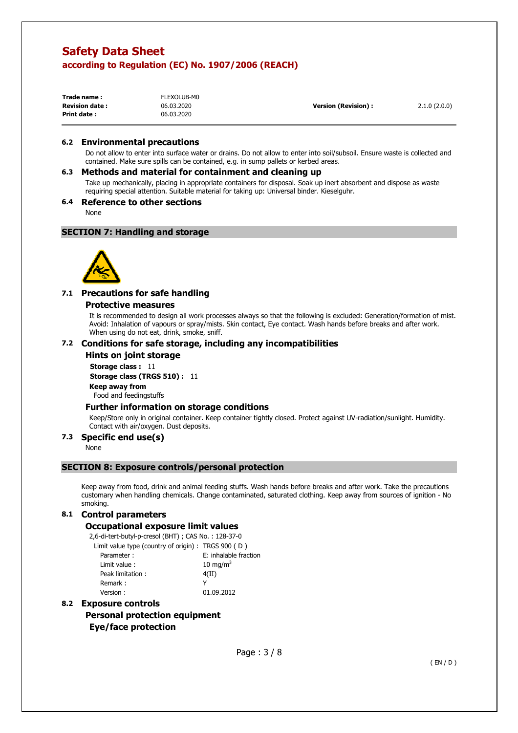| Trade name:           | FLEXOLUB-M0 |                            |              |
|-----------------------|-------------|----------------------------|--------------|
| <b>Revision date:</b> | 06.03.2020  | <b>Version (Revision):</b> | 2.1.0(2.0.0) |
| Print date:           | 06.03.2020  |                            |              |

#### **6.2 Environmental precautions**

Do not allow to enter into surface water or drains. Do not allow to enter into soil/subsoil. Ensure waste is collected and contained. Make sure spills can be contained, e.g. in sump pallets or kerbed areas.

#### **6.3 Methods and material for containment and cleaning up**

Take up mechanically, placing in appropriate containers for disposal. Soak up inert absorbent and dispose as waste requiring special attention. Suitable material for taking up: Universal binder. Kieselguhr.

#### **6.4 Reference to other sections**

None

### **SECTION 7: Handling and storage**



# **7.1 Precautions for safe handling**

#### **Protective measures**

It is recommended to design all work processes always so that the following is excluded: Generation/formation of mist. Avoid: Inhalation of vapours or spray/mists. Skin contact, Eye contact. Wash hands before breaks and after work. When using do not eat, drink, smoke, sniff.

#### **7.2 Conditions for safe storage, including any incompatibilities**

#### **Hints on joint storage**

**Storage class : 11** 

**Storage class (TRGS 510) :** 11

**Keep away from** 

Food and feedingstuffs

# **Further information on storage conditions**

Keep/Store only in original container. Keep container tightly closed. Protect against UV-radiation/sunlight. Humidity. Contact with air/oxygen. Dust deposits.

# **7.3 Specific end use(s)**

None

# **SECTION 8: Exposure controls/personal protection**

Keep away from food, drink and animal feeding stuffs. Wash hands before breaks and after work. Take the precautions customary when handling chemicals. Change contaminated, saturated clothing. Keep away from sources of ignition - No smoking.

#### **8.1 Control parameters**

#### **Occupational exposure limit values**

2,6-di-tert-butyl-p-cresol (BHT) ; CAS No. : 128-37-0

| Limit value type (country of origin): TRGS 900 (D) |                       |
|----------------------------------------------------|-----------------------|
| Parameter:                                         | E: inhalable fraction |
| Limit value:                                       | 10 mg/m $3$           |
| Peak limitation:                                   | 4(II)                 |
| Remark:                                            |                       |
| Version:                                           | 01.09.2012            |
|                                                    |                       |

# **8.2 Exposure controls**

**Personal protection equipment Eye/face protection**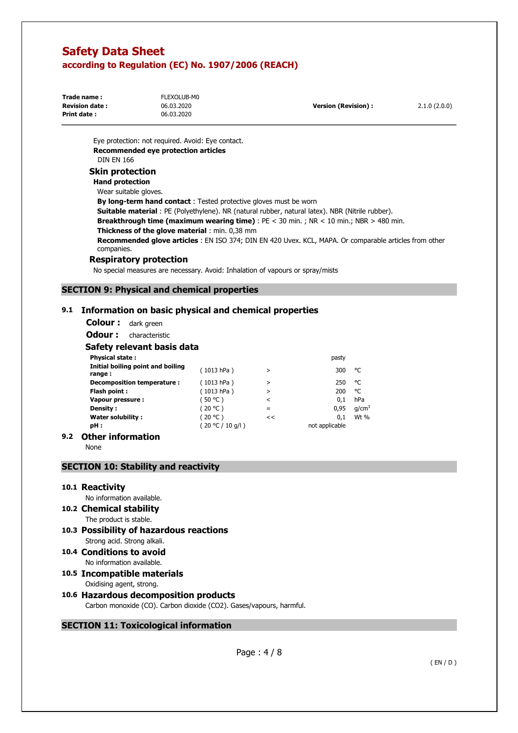| Trade name:           | FLEXOLUB-M0 |                            |              |
|-----------------------|-------------|----------------------------|--------------|
| <b>Revision date:</b> | 06.03.2020  | <b>Version (Revision):</b> | 2.1.0(2.0.0) |
| Print date:           | 06.03.2020  |                            |              |

Eye protection: not required. Avoid: Eye contact. **Recommended eye protection articles**  DIN EN 166

# **Skin protection**

### **Hand protection**

Wear suitable gloves. **By long-term hand contact** : Tested protective gloves must be worn **Suitable material** : PE (Polyethylene). NR (natural rubber, natural latex). NBR (Nitrile rubber). **Breakthrough time (maximum wearing time)** : PE < 30 min. ; NR < 10 min.; NBR > 480 min. **Thickness of the glove material** : min. 0,38 mm **Recommended glove articles** : EN ISO 374; DIN EN 420 Uvex. KCL, MAPA. Or comparable articles from other companies.

#### **Respiratory protection**

No special measures are necessary. Avoid: Inhalation of vapours or spray/mists

# **SECTION 9: Physical and chemical properties**

# **9.1 Information on basic physical and chemical properties**

**Colour :** dark green

**Odour :** characteristic

### **Safety relevant basis data**

| <b>Physical state:</b>                      |                  |         | pasty          |                   |
|---------------------------------------------|------------------|---------|----------------|-------------------|
| Initial boiling point and boiling<br>range: | (1013 hPa)       | $\geq$  | 300            | °C                |
| Decomposition temperature :                 | (1013 hPa)       | >       | 250            | °C                |
| Flash point:                                | (1013 hPa)       | >       | 200            | °C                |
| Vapour pressure :                           | (50 °C)          | $\,<\,$ | 0.1            | hPa               |
| Density:                                    | (20 °C)          | =       | 0,95           | q/cm <sup>3</sup> |
| <b>Water solubility:</b>                    | (20 °C)          | <<      | 0.1            | Wt %              |
| pH:                                         | (20 °C / 10 q/l) |         | not applicable |                   |
| )thar information                           |                  |         |                |                   |

# **9.2 Other information**

None

# **SECTION 10: Stability and reactivity**

**10.1 Reactivity** 

No information available.

- **10.2 Chemical stability** 
	- The product is stable.
- **10.3 Possibility of hazardous reactions**  Strong acid. Strong alkali.
- **10.4 Conditions to avoid** 
	- No information available.

# **10.5 Incompatible materials**  Oxidising agent, strong.

# **10.6 Hazardous decomposition products**

Carbon monoxide (CO). Carbon dioxide (CO2). Gases/vapours, harmful.

# **SECTION 11: Toxicological information**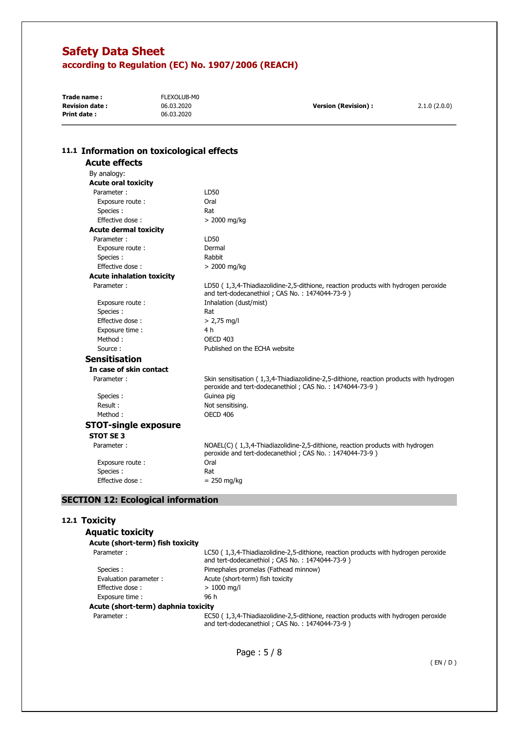| Trade name:           | FLEXOLUB-M0 |                      |              |
|-----------------------|-------------|----------------------|--------------|
| <b>Revision date:</b> | 06.03.2020  | Version (Revision) : | 2.1.0(2.0.0) |
| Print date:           | 06.03.2020  |                      |              |

| 11.1 Information on toxicological effects |                                                                                                                                                    |
|-------------------------------------------|----------------------------------------------------------------------------------------------------------------------------------------------------|
| <b>Acute effects</b>                      |                                                                                                                                                    |
| By analogy:                               |                                                                                                                                                    |
| <b>Acute oral toxicity</b>                |                                                                                                                                                    |
| Parameter:                                | LD50                                                                                                                                               |
| Exposure route:                           | Oral                                                                                                                                               |
| Species:                                  | Rat                                                                                                                                                |
| Effective dose:                           | $> 2000$ mg/kg                                                                                                                                     |
| <b>Acute dermal toxicity</b>              |                                                                                                                                                    |
| Parameter:                                | LD50                                                                                                                                               |
| Exposure route :                          | Dermal                                                                                                                                             |
| Species:                                  | Rabbit                                                                                                                                             |
| Effective dose:                           | $> 2000$ mg/kg                                                                                                                                     |
| <b>Acute inhalation toxicity</b>          |                                                                                                                                                    |
| Parameter:                                | LD50 (1,3,4-Thiadiazolidine-2,5-dithione, reaction products with hydrogen peroxide<br>and tert-dodecanethiol; CAS No.: 1474044-73-9)               |
| Exposure route :                          | Inhalation (dust/mist)                                                                                                                             |
| Species:                                  | Rat                                                                                                                                                |
| Effective dose:                           | $> 2,75$ mg/l                                                                                                                                      |
| Exposure time :                           | 4 h                                                                                                                                                |
| Method:                                   | <b>OECD 403</b>                                                                                                                                    |
| Source:                                   | Published on the ECHA website                                                                                                                      |
| <b>Sensitisation</b>                      |                                                                                                                                                    |
| In case of skin contact                   |                                                                                                                                                    |
| Parameter:                                | Skin sensitisation (1,3,4-Thiadiazolidine-2,5-dithione, reaction products with hydrogen<br>peroxide and tert-dodecanethiol; CAS No.: 1474044-73-9) |
| Species:                                  | Guinea pig                                                                                                                                         |
| Result:                                   | Not sensitising.                                                                                                                                   |
| Method:                                   | <b>OECD 406</b>                                                                                                                                    |
| <b>STOT-single exposure</b>               |                                                                                                                                                    |
| <b>STOT SE 3</b>                          |                                                                                                                                                    |
| Parameter:                                | NOAEL(C) (1,3,4-Thiadiazolidine-2,5-dithione, reaction products with hydrogen<br>peroxide and tert-dodecanethiol; CAS No.: 1474044-73-9)           |
| Exposure route :                          | Oral                                                                                                                                               |
| Species:                                  | Rat                                                                                                                                                |
| Effective dose:                           | $= 250$ mg/kg                                                                                                                                      |

# **SECTION 12: Ecological information**

#### **12.1 Toxicity**

| <b>Aquatic toxicity</b>             |                                                                                                                                      |
|-------------------------------------|--------------------------------------------------------------------------------------------------------------------------------------|
| Acute (short-term) fish toxicity    |                                                                                                                                      |
| Parameter:                          | LC50 (1,3,4-Thiadiazolidine-2,5-dithione, reaction products with hydrogen peroxide<br>and tert-dodecanethiol; CAS No.: 1474044-73-9) |
| Species:                            | Pimephales promelas (Fathead minnow)                                                                                                 |
| Evaluation parameter:               | Acute (short-term) fish toxicity                                                                                                     |
| Effective dose:                     | $> 1000$ mg/l                                                                                                                        |
| Exposure time:                      | 96 h                                                                                                                                 |
| Acute (short-term) daphnia toxicity |                                                                                                                                      |
| Parameter:                          | EC50 (1,3,4-Thiadiazolidine-2,5-dithione, reaction products with hydrogen peroxide<br>and tert-dodecanethiol; CAS No.: 1474044-73-9) |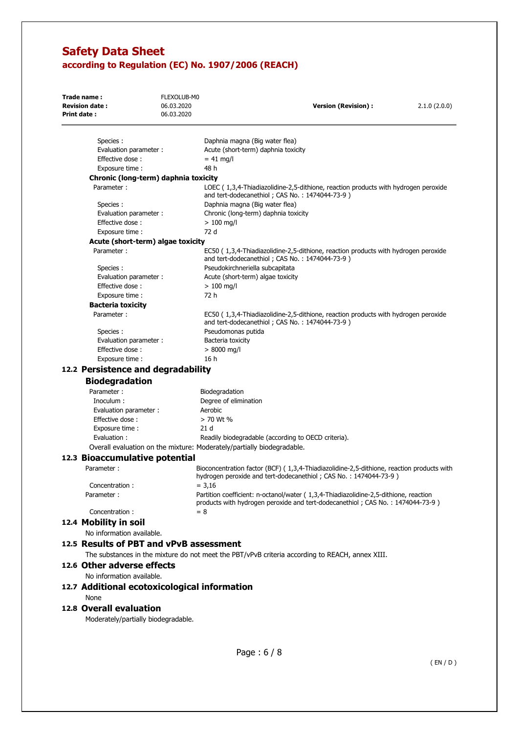| Trade name:<br><b>Revision date:</b><br>Print date: | FLEXOLUB-M0<br>06.03.2020<br>06.03.2020 | <b>Version (Revision):</b>                                                                                                                                              | 2.1.0(2.0.0) |
|-----------------------------------------------------|-----------------------------------------|-------------------------------------------------------------------------------------------------------------------------------------------------------------------------|--------------|
| Species:                                            |                                         | Daphnia magna (Big water flea)                                                                                                                                          |              |
| Evaluation parameter :                              |                                         | Acute (short-term) daphnia toxicity                                                                                                                                     |              |
| Effective dose:                                     |                                         | $= 41$ mg/l                                                                                                                                                             |              |
| Exposure time :                                     |                                         | 48 h                                                                                                                                                                    |              |
| Chronic (long-term) daphnia toxicity                |                                         |                                                                                                                                                                         |              |
| Parameter:                                          |                                         | LOEC (1,3,4-Thiadiazolidine-2,5-dithione, reaction products with hydrogen peroxide<br>and tert-dodecanethiol; CAS No.: 1474044-73-9)                                    |              |
| Species :                                           |                                         | Daphnia magna (Big water flea)                                                                                                                                          |              |
| Evaluation parameter :                              |                                         | Chronic (long-term) daphnia toxicity                                                                                                                                    |              |
| Effective dose:                                     |                                         | $> 100$ mg/l                                                                                                                                                            |              |
| Exposure time :                                     |                                         | 72 d                                                                                                                                                                    |              |
| Acute (short-term) algae toxicity                   |                                         |                                                                                                                                                                         |              |
| Parameter:<br>Species :                             |                                         | EC50 (1,3,4-Thiadiazolidine-2,5-dithione, reaction products with hydrogen peroxide<br>and tert-dodecanethiol; CAS No.: 1474044-73-9)<br>Pseudokirchneriella subcapitata |              |
| Evaluation parameter :                              |                                         | Acute (short-term) algae toxicity                                                                                                                                       |              |
| Effective dose:                                     |                                         | $> 100$ mg/l                                                                                                                                                            |              |
| Exposure time :                                     |                                         | 72 h                                                                                                                                                                    |              |
| <b>Bacteria toxicity</b>                            |                                         |                                                                                                                                                                         |              |
| Parameter:                                          |                                         | EC50 (1,3,4-Thiadiazolidine-2,5-dithione, reaction products with hydrogen peroxide<br>and tert-dodecanethiol; CAS No.: 1474044-73-9)                                    |              |
| Species:                                            |                                         | Pseudomonas putida                                                                                                                                                      |              |
| Evaluation parameter :                              |                                         | Bacteria toxicity                                                                                                                                                       |              |
| Effective dose:                                     |                                         | $> 8000$ mg/l                                                                                                                                                           |              |
| Exposure time :                                     |                                         | 16 h                                                                                                                                                                    |              |
| 12.2 Persistence and degradability                  |                                         |                                                                                                                                                                         |              |
| <b>Biodegradation</b>                               |                                         |                                                                                                                                                                         |              |
| Parameter:                                          |                                         | Biodegradation                                                                                                                                                          |              |
| Inoculum :                                          |                                         | Degree of elimination                                                                                                                                                   |              |
| Evaluation parameter :                              |                                         | Aerobic                                                                                                                                                                 |              |
| Effective dose:                                     |                                         | > 70 Wt %                                                                                                                                                               |              |
| Exposure time :                                     |                                         | 21 <sub>d</sub>                                                                                                                                                         |              |
| Evaluation:                                         |                                         | Readily biodegradable (according to OECD criteria).                                                                                                                     |              |
|                                                     |                                         | Overall evaluation on the mixture: Moderately/partially biodegradable.                                                                                                  |              |
| 12.3 Bioaccumulative potential                      |                                         |                                                                                                                                                                         |              |
| Parameter:                                          |                                         | Bioconcentration factor (BCF) (1,3,4-Thiadiazolidine-2,5-dithione, reaction products with<br>hydrogen peroxide and tert-dodecanethiol; CAS No.: 1474044-73-9)           |              |
| Concentration:                                      |                                         | $= 3,16$                                                                                                                                                                |              |
| Parameter:                                          |                                         | Partition coefficient: n-octanol/water (1,3,4-Thiadiazolidine-2,5-dithione, reaction<br>products with hydrogen peroxide and tert-dodecanethiol; CAS No.: 1474044-73-9)  |              |
| Concentration:                                      |                                         | $= 8$                                                                                                                                                                   |              |
| 12.4 Mobility in soil                               |                                         |                                                                                                                                                                         |              |
| No information available.                           |                                         |                                                                                                                                                                         |              |
| 12.5 Results of PBT and vPvB assessment             |                                         |                                                                                                                                                                         |              |
|                                                     |                                         | The substances in the mixture do not meet the PBT/vPvB criteria according to REACH, annex XIII.                                                                         |              |
| 12.6 Other adverse effects                          |                                         |                                                                                                                                                                         |              |
| No information available.                           |                                         |                                                                                                                                                                         |              |
| 12.7 Additional ecotoxicological information        |                                         |                                                                                                                                                                         |              |
| None                                                |                                         |                                                                                                                                                                         |              |
| 12.8 Overall evaluation                             |                                         |                                                                                                                                                                         |              |
|                                                     |                                         |                                                                                                                                                                         |              |
| Moderately/partially biodegradable.                 |                                         |                                                                                                                                                                         |              |
|                                                     |                                         |                                                                                                                                                                         |              |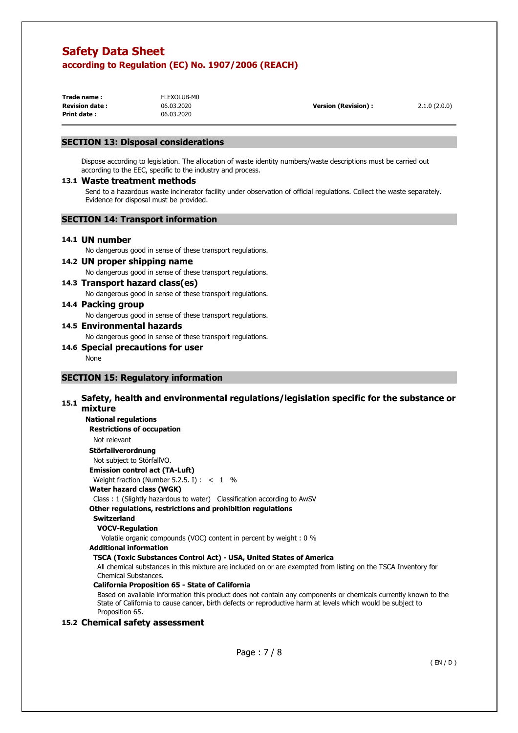| Trade name:            | FLEXOLUB-M0 |                      |              |
|------------------------|-------------|----------------------|--------------|
| <b>Revision date :</b> | 06.03.2020  | Version (Revision) : | 2.1.0(2.0.0) |
| Print date :           | 06.03.2020  |                      |              |

# **SECTION 13: Disposal considerations**

Dispose according to legislation. The allocation of waste identity numbers/waste descriptions must be carried out according to the EEC, specific to the industry and process.

#### **13.1 Waste treatment methods**

Send to a hazardous waste incinerator facility under observation of official regulations. Collect the waste separately. Evidence for disposal must be provided.

# **SECTION 14: Transport information**

#### **14.1 UN number**

No dangerous good in sense of these transport regulations.

### **14.2 UN proper shipping name**  No dangerous good in sense of these transport regulations.

# **14.3 Transport hazard class(es)**

No dangerous good in sense of these transport regulations.

#### **14.4 Packing group**

No dangerous good in sense of these transport regulations.

# **14.5 Environmental hazards**

No dangerous good in sense of these transport regulations.

# **14.6 Special precautions for user**

None

# **SECTION 15: Regulatory information**

#### **15.1 Safety, health and environmental regulations/legislation specific for the substance or mixture**

**National regulations Restrictions of occupation** 

# Not relevant

**Störfallverordnung** 

Not subject to StörfallVO.

# **Emission control act (TA-Luft)**

Weight fraction (Number 5.2.5. I) :  $\lt$  1 %

# **Water hazard class (WGK)**

Class : 1 (Slightly hazardous to water) Classification according to AwSV

# **Other regulations, restrictions and prohibition regulations**

#### **Switzerland VOCV-Regulation**

Volatile organic compounds (VOC) content in percent by weight : 0 %

# **Additional information**

# **TSCA (Toxic Substances Control Act) - USA, United States of America**

All chemical substances in this mixture are included on or are exempted from listing on the TSCA Inventory for Chemical Substances.

# **California Proposition 65 - State of California**

Based on available information this product does not contain any components or chemicals currently known to the State of California to cause cancer, birth defects or reproductive harm at levels which would be subject to Proposition 65.

# **15.2 Chemical safety assessment**